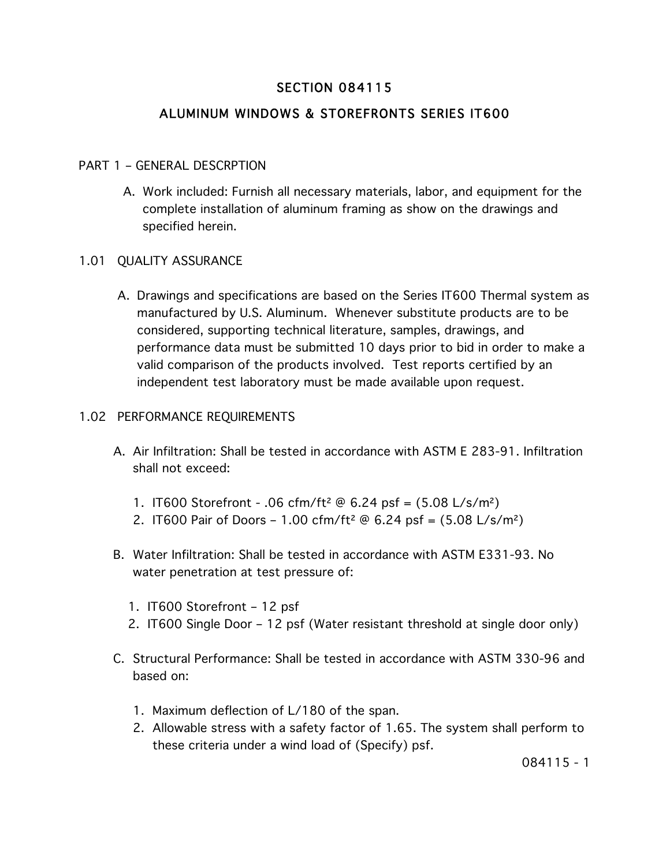# SECTION 084115

# ALUMINUM WINDOWS & STOREFRONTS SERIES IT600

## PART 1 – GENERAL DESCRPTION

A. Work included: Furnish all necessary materials, labor, and equipment for the complete installation of aluminum framing as show on the drawings and specified herein.

## 1.01 QUALITY ASSURANCE

A. Drawings and specifications are based on the Series IT600 Thermal system as manufactured by U.S. Aluminum. Whenever substitute products are to be considered, supporting technical literature, samples, drawings, and performance data must be submitted 10 days prior to bid in order to make a valid comparison of the products involved. Test reports certified by an independent test laboratory must be made available upon request.

#### 1.02 PERFORMANCE REQUIREMENTS

- A. Air Infiltration: Shall be tested in accordance with ASTM E 283-91. Infiltration shall not exceed:
	- 1. IT600 Storefront .06 cfm/ft² @ 6.24 psf = (5.08 L/s/m²)
	- 2. IT600 Pair of Doors 1.00 cfm/ft<sup>2</sup>  $\omega$  6.24 psf = (5.08 L/s/m<sup>2</sup>)
- B. Water Infiltration: Shall be tested in accordance with ASTM E331-93. No water penetration at test pressure of:
	- 1. IT600 Storefront 12 psf
	- 2. IT600 Single Door 12 psf (Water resistant threshold at single door only)
- C. Structural Performance: Shall be tested in accordance with ASTM 330-96 and based on:
	- 1. Maximum deflection of L/180 of the span.
	- 2. Allowable stress with a safety factor of 1.65. The system shall perform to these criteria under a wind load of (Specify) psf.

084115 - 1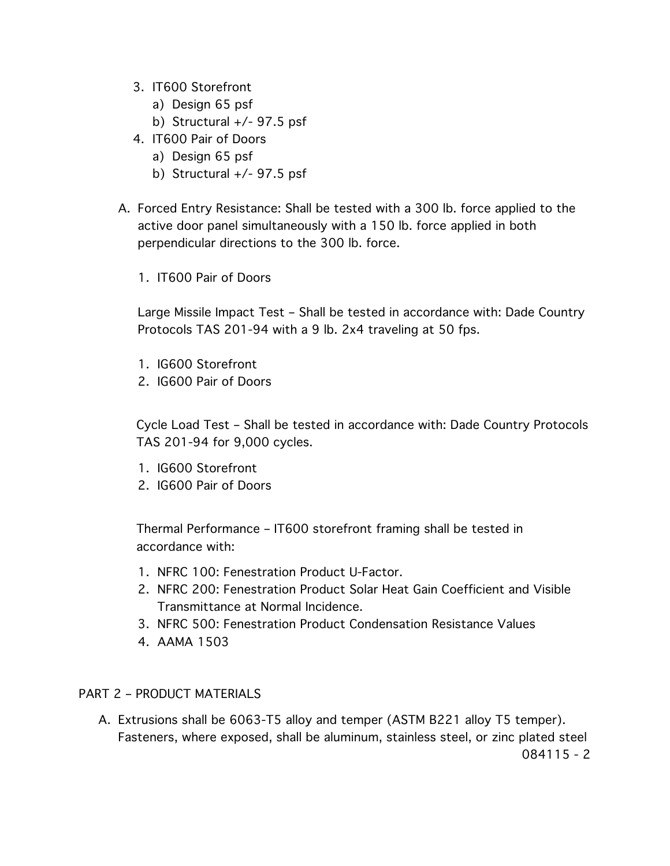- 3. IT600 Storefront
	- a) Design 65 psf
	- b) Structural  $+/-$  97.5 psf
- 4. IT600 Pair of Doors
	- a) Design 65 psf
	- b) Structural  $+/-$  97.5 psf
- A. Forced Entry Resistance: Shall be tested with a 300 lb. force applied to the active door panel simultaneously with a 150 lb. force applied in both perpendicular directions to the 300 lb. force.
	- 1. IT600 Pair of Doors

Large Missile Impact Test – Shall be tested in accordance with: Dade Country Protocols TAS 201-94 with a 9 lb. 2x4 traveling at 50 fps.

- 1. IG600 Storefront
- 2. IG600 Pair of Doors

Cycle Load Test – Shall be tested in accordance with: Dade Country Protocols TAS 201-94 for 9,000 cycles.

- 1. IG600 Storefront
- 2. IG600 Pair of Doors

Thermal Performance – IT600 storefront framing shall be tested in accordance with:

- 1. NFRC 100: Fenestration Product U-Factor.
- 2. NFRC 200: Fenestration Product Solar Heat Gain Coefficient and Visible Transmittance at Normal Incidence.
- 3. NFRC 500: Fenestration Product Condensation Resistance Values
- 4. AAMA 1503

## PART 2 – PRODUCT MATERIALS

A. Extrusions shall be 6063-T5 alloy and temper (ASTM B221 alloy T5 temper). Fasteners, where exposed, shall be aluminum, stainless steel, or zinc plated steel 084115 - 2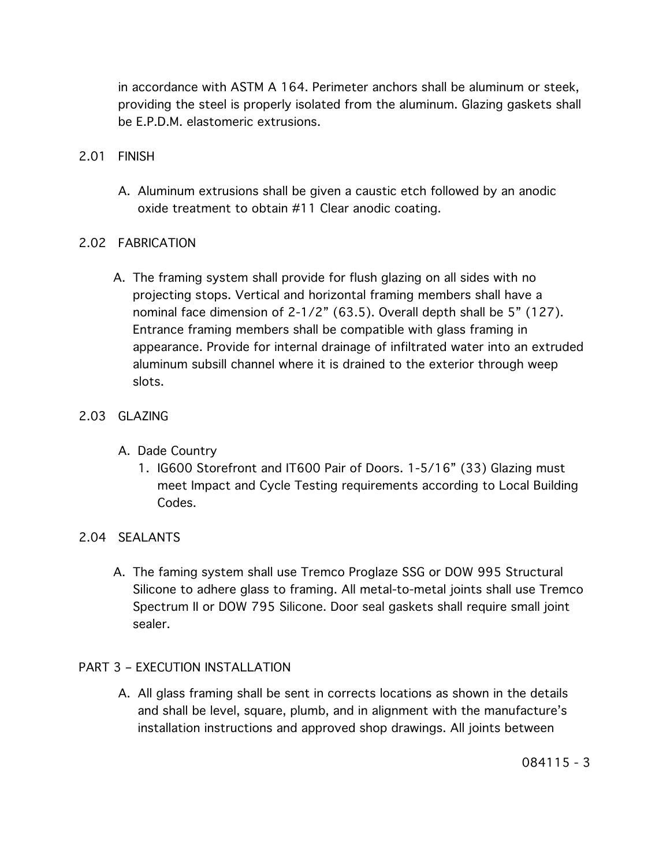in accordance with ASTM A 164. Perimeter anchors shall be aluminum or steek, providing the steel is properly isolated from the aluminum. Glazing gaskets shall be E.P.D.M. elastomeric extrusions.

- 2.01 FINISH
	- A. Aluminum extrusions shall be given a caustic etch followed by an anodic oxide treatment to obtain #11 Clear anodic coating.

# 2.02 FABRICATION

A. The framing system shall provide for flush glazing on all sides with no projecting stops. Vertical and horizontal framing members shall have a nominal face dimension of 2-1/2" (63.5). Overall depth shall be 5" (127). Entrance framing members shall be compatible with glass framing in appearance. Provide for internal drainage of infiltrated water into an extruded aluminum subsill channel where it is drained to the exterior through weep slots.

# 2.03 GLAZING

- A. Dade Country
	- 1. IG600 Storefront and IT600 Pair of Doors. 1-5/16" (33) Glazing must meet Impact and Cycle Testing requirements according to Local Building Codes.

## 2.04 SEALANTS

A. The faming system shall use Tremco Proglaze SSG or DOW 995 Structural Silicone to adhere glass to framing. All metal-to-metal joints shall use Tremco Spectrum II or DOW 795 Silicone. Door seal gaskets shall require small joint sealer.

## PART 3 – EXECUTION INSTALLATION

A. All glass framing shall be sent in corrects locations as shown in the details and shall be level, square, plumb, and in alignment with the manufacture's installation instructions and approved shop drawings. All joints between